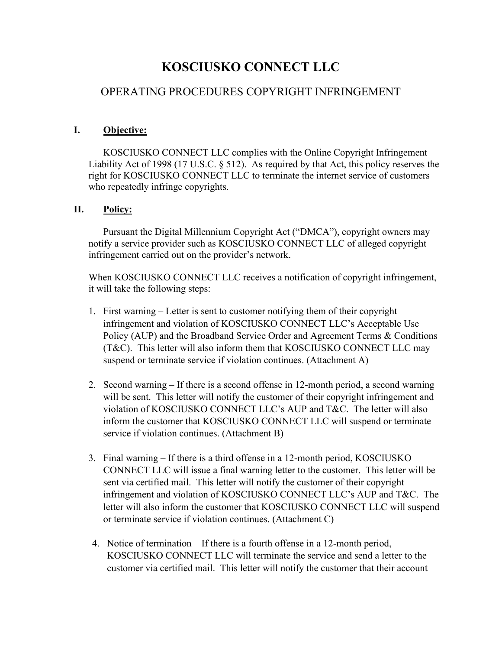# **KOSCIUSKO CONNECT LLC**

## OPERATING PROCEDURES COPYRIGHT INFRINGEMENT

### **I. Objective:**

KOSCIUSKO CONNECT LLC complies with the Online Copyright Infringement Liability Act of 1998 (17 U.S.C. § 512). As required by that Act, this policy reserves the right for KOSCIUSKO CONNECT LLC to terminate the internet service of customers who repeatedly infringe copyrights.

#### **II. Policy:**

Pursuant the Digital Millennium Copyright Act ("DMCA"), copyright owners may notify a service provider such as KOSCIUSKO CONNECT LLC of alleged copyright infringement carried out on the provider's network.

When KOSCIUSKO CONNECT LLC receives a notification of copyright infringement, it will take the following steps:

- 1. First warning Letter is sent to customer notifying them of their copyright infringement and violation of KOSCIUSKO CONNECT LLC's Acceptable Use Policy (AUP) and the Broadband Service Order and Agreement Terms & Conditions (T&C). This letter will also inform them that KOSCIUSKO CONNECT LLC may suspend or terminate service if violation continues. (Attachment A)
- 2. Second warning If there is a second offense in 12-month period, a second warning will be sent. This letter will notify the customer of their copyright infringement and violation of KOSCIUSKO CONNECT LLC's AUP and T&C. The letter will also inform the customer that KOSCIUSKO CONNECT LLC will suspend or terminate service if violation continues. (Attachment B)
- 3. Final warning If there is a third offense in a 12-month period, KOSCIUSKO CONNECT LLC will issue a final warning letter to the customer. This letter will be sent via certified mail. This letter will notify the customer of their copyright infringement and violation of KOSCIUSKO CONNECT LLC's AUP and T&C. The letter will also inform the customer that KOSCIUSKO CONNECT LLC will suspend or terminate service if violation continues. (Attachment C)
- 4. Notice of termination If there is a fourth offense in a 12-month period, KOSCIUSKO CONNECT LLC will terminate the service and send a letter to the customer via certified mail. This letter will notify the customer that their account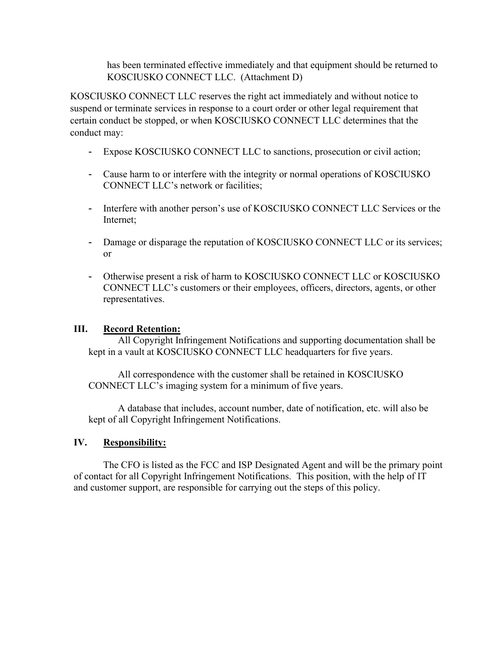has been terminated effective immediately and that equipment should be returned to KOSCIUSKO CONNECT LLC. (Attachment D)

KOSCIUSKO CONNECT LLC reserves the right act immediately and without notice to suspend or terminate services in response to a court order or other legal requirement that certain conduct be stopped, or when KOSCIUSKO CONNECT LLC determines that the conduct may:

- Expose KOSCIUSKO CONNECT LLC to sanctions, prosecution or civil action;
- Cause harm to or interfere with the integrity or normal operations of KOSCIUSKO CONNECT LLC's network or facilities;
- Interfere with another person's use of KOSCIUSKO CONNECT LLC Services or the Internet;
- Damage or disparage the reputation of KOSCIUSKO CONNECT LLC or its services; or
- Otherwise present a risk of harm to KOSCIUSKO CONNECT LLC or KOSCIUSKO CONNECT LLC's customers or their employees, officers, directors, agents, or other representatives.

#### **III. Record Retention:**

All Copyright Infringement Notifications and supporting documentation shall be kept in a vault at KOSCIUSKO CONNECT LLC headquarters for five years.

All correspondence with the customer shall be retained in KOSCIUSKO CONNECT LLC's imaging system for a minimum of five years.

A database that includes, account number, date of notification, etc. will also be kept of all Copyright Infringement Notifications.

#### **IV. Responsibility:**

The CFO is listed as the FCC and ISP Designated Agent and will be the primary point of contact for all Copyright Infringement Notifications. This position, with the help of IT and customer support, are responsible for carrying out the steps of this policy.